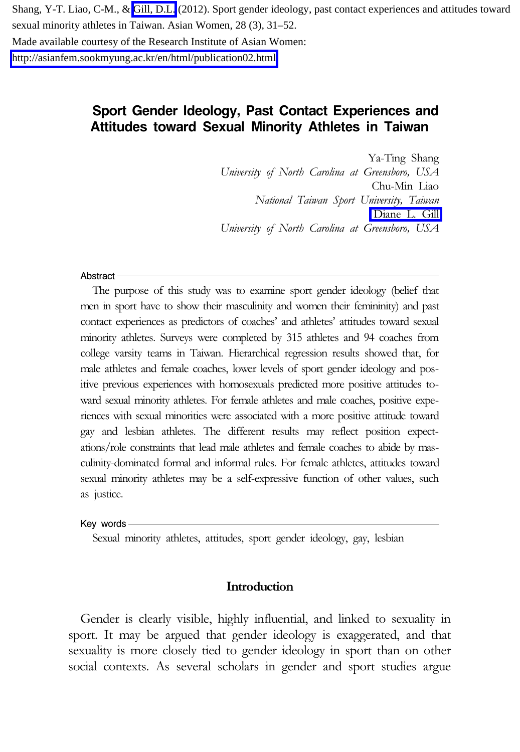Shang, Y-T. Liao, C-M., & [Gill, D.L.](https://libres.uncg.edu/ir/uncg/clist.aspx?id=1410) (2012). Sport gender ideology, past contact experiences and attitudes toward sexual minority athletes in Taiwan. Asian Women, 28 (3), 31–52. Made available courtesy of the Research Institute of Asian Women: <http://asianfem.sookmyung.ac.kr/en/html/publication02.html>

# **Sport Gender Ideology, Past Contact Experiences and Attitudes toward Sexual Minority Athletes in Taiwan**

Ya-Ting Shang University of North Carolina at Greensboro, USA Chu-Min Liao National Taiwan Sport University, Taiwan [Diane L. Gill](https://libres.uncg.edu/ir/uncg/clist.aspx?id=1410) University of North Carolina at Greensboro, USA

#### Abstract -

The purpose of this study was to examine sport gender ideology (belief that men in sport have to show their masculinity and women their femininity) and past contact experiences as predictors of coaches' and athletes' attitudes toward sexual minority athletes. Surveys were completed by 315 athletes and 94 coaches from college varsity teams in Taiwan. Hierarchical regression results showed that, for male athletes and female coaches, lower levels of sport gender ideology and positive previous experiences with homosexuals predicted more positive attitudes toward sexual minority athletes. For female athletes and male coaches, positive experiences with sexual minorities were associated with a more positive attitude toward gay and lesbian athletes. The different results may reflect position expectations/role constraints that lead male athletes and female coaches to abide by masculinity-dominated formal and informal rules. For female athletes, attitudes toward sexual minority athletes may be a self-expressive function of other values, such as justice.

#### Key words

Sexual minority athletes, attitudes, sport gender ideology, gay, lesbian

## Introduction

Gender is clearly visible, highly influential, and linked to sexuality in sport. It may be argued that gender ideology is exaggerated, and that sexuality is more closely tied to gender ideology in sport than on other social contexts. As several scholars in gender and sport studies argue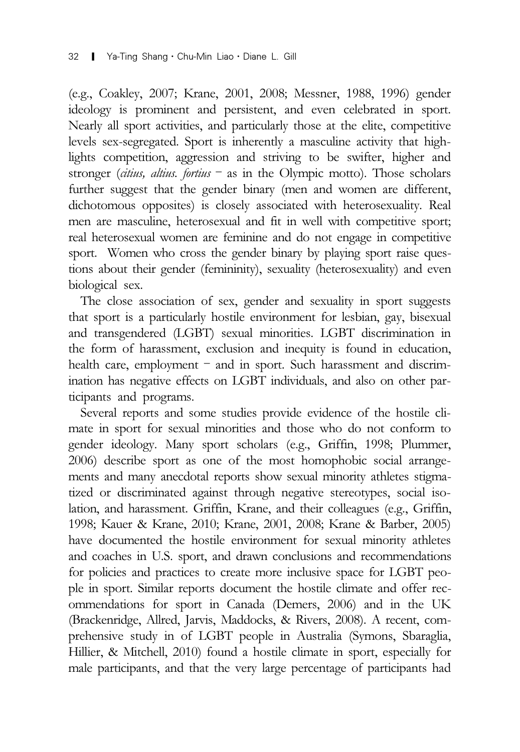(e.g., Coakley, 2007; Krane, 2001, 2008; Messner, 1988, 1996) gender ideology is prominent and persistent, and even celebrated in sport. Nearly all sport activities, and particularly those at the elite, competitive levels sex-segregated. Sport is inherently a masculine activity that highlights competition, aggression and striving to be swifter, higher and stronger (citius, altius. fortius  $-$  as in the Olympic motto). Those scholars further suggest that the gender binary (men and women are different, dichotomous opposites) is closely associated with heterosexuality. Real men are masculine, heterosexual and fit in well with competitive sport; real heterosexual women are feminine and do not engage in competitive sport. Women who cross the gender binary by playing sport raise questions about their gender (femininity), sexuality (heterosexuality) and even biological sex.

The close association of sex, gender and sexuality in sport suggests that sport is a particularly hostile environment for lesbian, gay, bisexual and transgendered (LGBT) sexual minorities. LGBT discrimination in the form of harassment, exclusion and inequity is found in education, health care, employment - and in sport. Such harassment and discrimination has negative effects on LGBT individuals, and also on other participants and programs.

Several reports and some studies provide evidence of the hostile climate in sport for sexual minorities and those who do not conform to gender ideology. Many sport scholars (e.g., Griffin, 1998; Plummer, 2006) describe sport as one of the most homophobic social arrangements and many anecdotal reports show sexual minority athletes stigmatized or discriminated against through negative stereotypes, social isolation, and harassment. Griffin, Krane, and their colleagues (e.g., Griffin, 1998; Kauer & Krane, 2010; Krane, 2001, 2008; Krane & Barber, 2005) have documented the hostile environment for sexual minority athletes and coaches in U.S. sport, and drawn conclusions and recommendations for policies and practices to create more inclusive space for LGBT people in sport. Similar reports document the hostile climate and offer recommendations for sport in Canada (Demers, 2006) and in the UK (Brackenridge, Allred, Jarvis, Maddocks, & Rivers, 2008). A recent, comprehensive study in of LGBT people in Australia (Symons, Sbaraglia, Hillier, & Mitchell, 2010) found a hostile climate in sport, especially for male participants, and that the very large percentage of participants had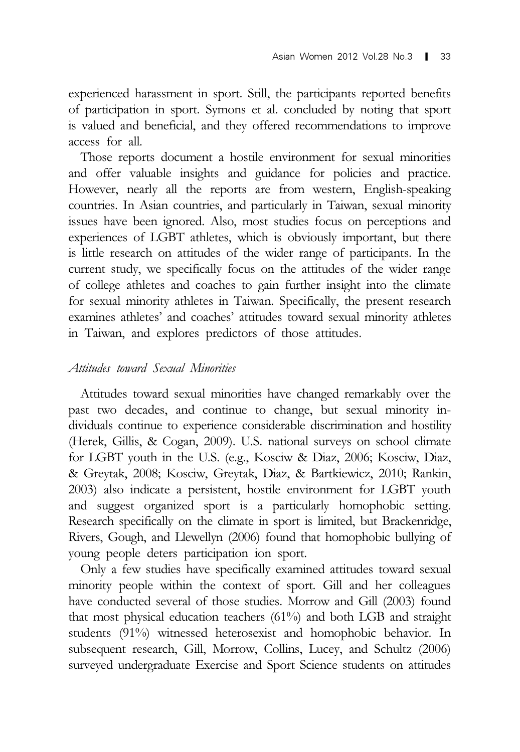experienced harassment in sport. Still, the participants reported benefits of participation in sport. Symons et al. concluded by noting that sport is valued and beneficial, and they offered recommendations to improve access for all.

Those reports document a hostile environment for sexual minorities and offer valuable insights and guidance for policies and practice. However, nearly all the reports are from western, English-speaking countries. In Asian countries, and particularly in Taiwan, sexual minority issues have been ignored. Also, most studies focus on perceptions and experiences of LGBT athletes, which is obviously important, but there is little research on attitudes of the wider range of participants. In the current study, we specifically focus on the attitudes of the wider range of college athletes and coaches to gain further insight into the climate for sexual minority athletes in Taiwan. Specifically, the present research examines athletes' and coaches' attitudes toward sexual minority athletes in Taiwan, and explores predictors of those attitudes.

# Attitudes toward Sexual Minorities

Attitudes toward sexual minorities have changed remarkably over the past two decades, and continue to change, but sexual minority individuals continue to experience considerable discrimination and hostility (Herek, Gillis, & Cogan, 2009). U.S. national surveys on school climate for LGBT youth in the U.S. (e.g., Kosciw & Diaz, 2006; Kosciw, Diaz, & Greytak, 2008; Kosciw, Greytak, Diaz, & Bartkiewicz, 2010; Rankin, 2003) also indicate a persistent, hostile environment for LGBT youth and suggest organized sport is a particularly homophobic setting. Research specifically on the climate in sport is limited, but Brackenridge, Rivers, Gough, and Llewellyn (2006) found that homophobic bullying of young people deters participation ion sport.

Only a few studies have specifically examined attitudes toward sexual minority people within the context of sport. Gill and her colleagues have conducted several of those studies. Morrow and Gill (2003) found that most physical education teachers (61%) and both LGB and straight students (91%) witnessed heterosexist and homophobic behavior. In subsequent research, Gill, Morrow, Collins, Lucey, and Schultz (2006) surveyed undergraduate Exercise and Sport Science students on attitudes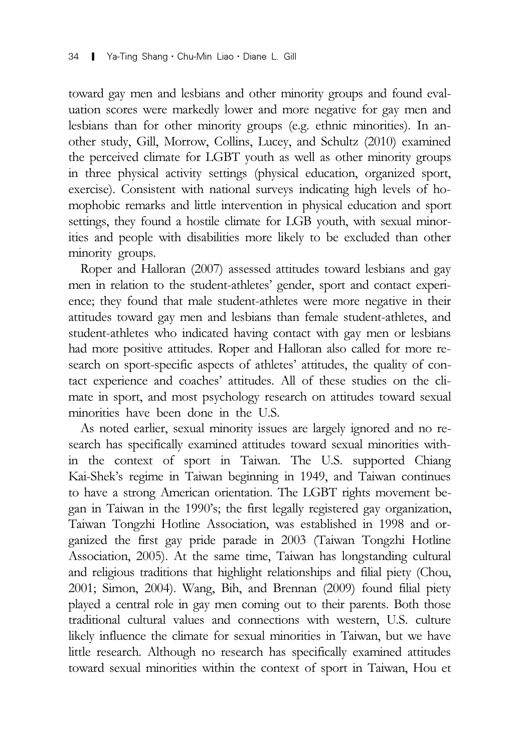toward gay men and lesbians and other minority groups and found evaluation scores were markedly lower and more negative for gay men and lesbians than for other minority groups (e.g. ethnic minorities). In another study, Gill, Morrow, Collins, Lucey, and Schultz (2010) examined the perceived climate for LGBT youth as well as other minority groups in three physical activity settings (physical education, organized sport, exercise). Consistent with national surveys indicating high levels of homophobic remarks and little intervention in physical education and sport settings, they found a hostile climate for LGB youth, with sexual minorities and people with disabilities more likely to be excluded than other minority groups.

Roper and Halloran (2007) assessed attitudes toward lesbians and gay men in relation to the student-athletes' gender, sport and contact experience; they found that male student-athletes were more negative in their attitudes toward gay men and lesbians than female student-athletes, and student-athletes who indicated having contact with gay men or lesbians had more positive attitudes. Roper and Halloran also called for more research on sport-specific aspects of athletes' attitudes, the quality of contact experience and coaches' attitudes. All of these studies on the climate in sport, and most psychology research on attitudes toward sexual minorities have been done in the U.S.

As noted earlier, sexual minority issues are largely ignored and no research has specifically examined attitudes toward sexual minorities within the context of sport in Taiwan. The U.S. supported Chiang Kai-Shek's regime in Taiwan beginning in 1949, and Taiwan continues to have a strong American orientation. The LGBT rights movement began in Taiwan in the 1990's; the first legally registered gay organization, Taiwan Tongzhi Hotline Association, was established in 1998 and organized the first gay pride parade in 2003 (Taiwan Tongzhi Hotline Association, 2005). At the same time, Taiwan has longstanding cultural and religious traditions that highlight relationships and filial piety (Chou, 2001; Simon, 2004). Wang, Bih, and Brennan (2009) found filial piety played a central role in gay men coming out to their parents. Both those traditional cultural values and connections with western, U.S. culture likely influence the climate for sexual minorities in Taiwan, but we have little research. Although no research has specifically examined attitudes toward sexual minorities within the context of sport in Taiwan, Hou et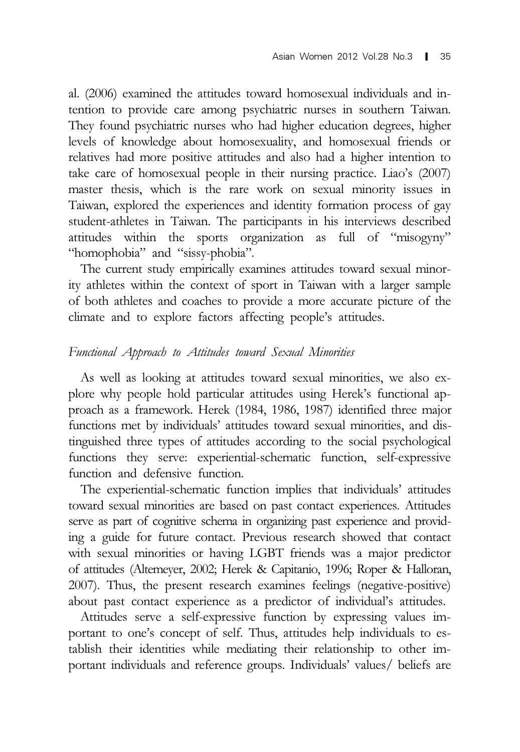al. (2006) examined the attitudes toward homosexual individuals and intention to provide care among psychiatric nurses in southern Taiwan. They found psychiatric nurses who had higher education degrees, higher levels of knowledge about homosexuality, and homosexual friends or relatives had more positive attitudes and also had a higher intention to take care of homosexual people in their nursing practice. Liao's (2007) master thesis, which is the rare work on sexual minority issues in Taiwan, explored the experiences and identity formation process of gay student-athletes in Taiwan. The participants in his interviews described attitudes within the sports organization as full of "misogyny" "homophobia" and "sissy-phobia".

The current study empirically examines attitudes toward sexual minority athletes within the context of sport in Taiwan with a larger sample of both athletes and coaches to provide a more accurate picture of the climate and to explore factors affecting people's attitudes.

# Functional Approach to Attitudes toward Sexual Minorities

As well as looking at attitudes toward sexual minorities, we also explore why people hold particular attitudes using Herek's functional approach as a framework. Herek (1984, 1986, 1987) identified three major functions met by individuals' attitudes toward sexual minorities, and distinguished three types of attitudes according to the social psychological functions they serve: experiential-schematic function, self-expressive function and defensive function.

The experiential-schematic function implies that individuals' attitudes toward sexual minorities are based on past contact experiences. Attitudes serve as part of cognitive schema in organizing past experience and providing a guide for future contact. Previous research showed that contact with sexual minorities or having LGBT friends was a major predictor of attitudes (Altemeyer, 2002; Herek & Capitanio, 1996; Roper & Halloran, 2007). Thus, the present research examines feelings (negative-positive) about past contact experience as a predictor of individual's attitudes.

Attitudes serve a self-expressive function by expressing values important to one's concept of self. Thus, attitudes help individuals to establish their identities while mediating their relationship to other important individuals and reference groups. Individuals' values/ beliefs are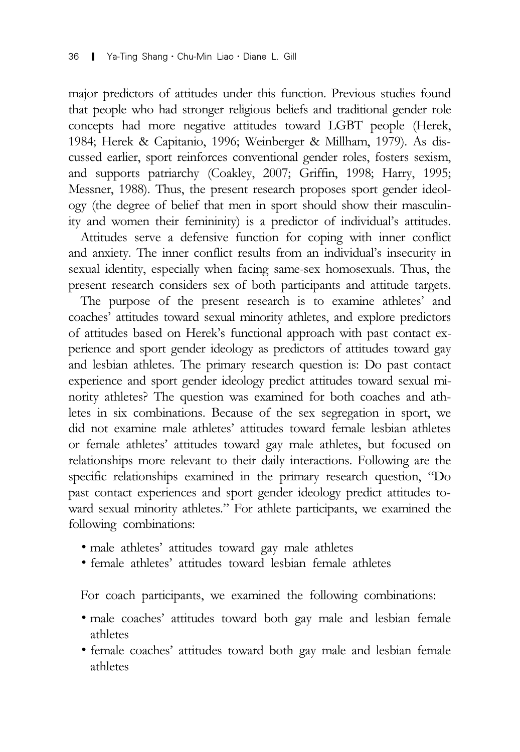major predictors of attitudes under this function. Previous studies found that people who had stronger religious beliefs and traditional gender role concepts had more negative attitudes toward LGBT people (Herek, 1984; Herek & Capitanio, 1996; Weinberger & Millham, 1979). As discussed earlier, sport reinforces conventional gender roles, fosters sexism, and supports patriarchy (Coakley, 2007; Griffin, 1998; Harry, 1995; Messner, 1988). Thus, the present research proposes sport gender ideology (the degree of belief that men in sport should show their masculinity and women their femininity) is a predictor of individual's attitudes.

Attitudes serve a defensive function for coping with inner conflict and anxiety. The inner conflict results from an individual's insecurity in sexual identity, especially when facing same-sex homosexuals. Thus, the present research considers sex of both participants and attitude targets.

The purpose of the present research is to examine athletes' and coaches' attitudes toward sexual minority athletes, and explore predictors of attitudes based on Herek's functional approach with past contact experience and sport gender ideology as predictors of attitudes toward gay and lesbian athletes. The primary research question is: Do past contact experience and sport gender ideology predict attitudes toward sexual minority athletes? The question was examined for both coaches and athletes in six combinations. Because of the sex segregation in sport, we did not examine male athletes' attitudes toward female lesbian athletes or female athletes' attitudes toward gay male athletes, but focused on relationships more relevant to their daily interactions. Following are the specific relationships examined in the primary research question, "Do past contact experiences and sport gender ideology predict attitudes toward sexual minority athletes." For athlete participants, we examined the following combinations:

- ∙ male athletes' attitudes toward gay male athletes
- ∙ female athletes' attitudes toward lesbian female athletes

For coach participants, we examined the following combinations:

- ∙ male coaches' attitudes toward both gay male and lesbian female athletes
- ∙ female coaches' attitudes toward both gay male and lesbian female athletes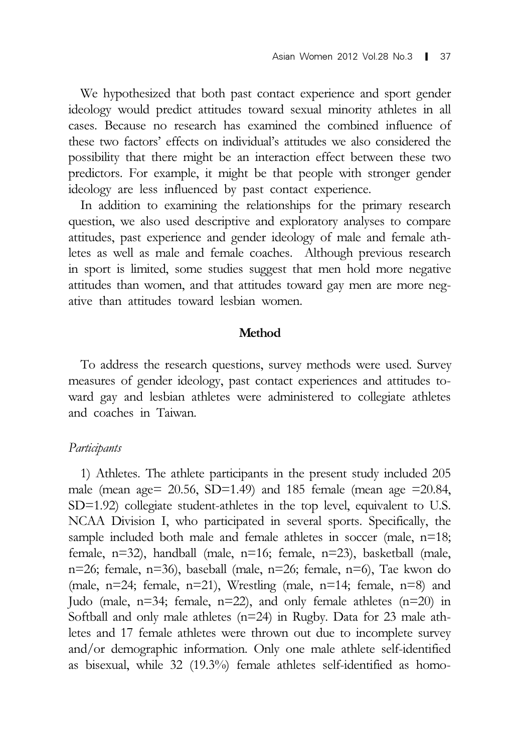We hypothesized that both past contact experience and sport gender ideology would predict attitudes toward sexual minority athletes in all cases. Because no research has examined the combined influence of these two factors' effects on individual's attitudes we also considered the possibility that there might be an interaction effect between these two predictors. For example, it might be that people with stronger gender ideology are less influenced by past contact experience.

In addition to examining the relationships for the primary research question, we also used descriptive and exploratory analyses to compare attitudes, past experience and gender ideology of male and female athletes as well as male and female coaches. Although previous research in sport is limited, some studies suggest that men hold more negative attitudes than women, and that attitudes toward gay men are more negative than attitudes toward lesbian women.

#### Method

To address the research questions, survey methods were used. Survey measures of gender ideology, past contact experiences and attitudes toward gay and lesbian athletes were administered to collegiate athletes and coaches in Taiwan.

#### Participants

1) Athletes. The athlete participants in the present study included 205 male (mean age= 20.56, SD=1.49) and 185 female (mean age =20.84, SD=1.92) collegiate student-athletes in the top level, equivalent to U.S. NCAA Division I, who participated in several sports. Specifically, the sample included both male and female athletes in soccer (male, n=18; female, n=32), handball (male, n=16; female, n=23), basketball (male, n=26; female, n=36), baseball (male, n=26; female, n=6), Tae kwon do (male,  $n=24$ ; female,  $n=21$ ), Wrestling (male,  $n=14$ ; female,  $n=8$ ) and Judo (male, n=34; female, n=22), and only female athletes (n=20) in Softball and only male athletes (n=24) in Rugby. Data for 23 male athletes and 17 female athletes were thrown out due to incomplete survey and/or demographic information. Only one male athlete self-identified as bisexual, while 32 (19.3%) female athletes self-identified as homo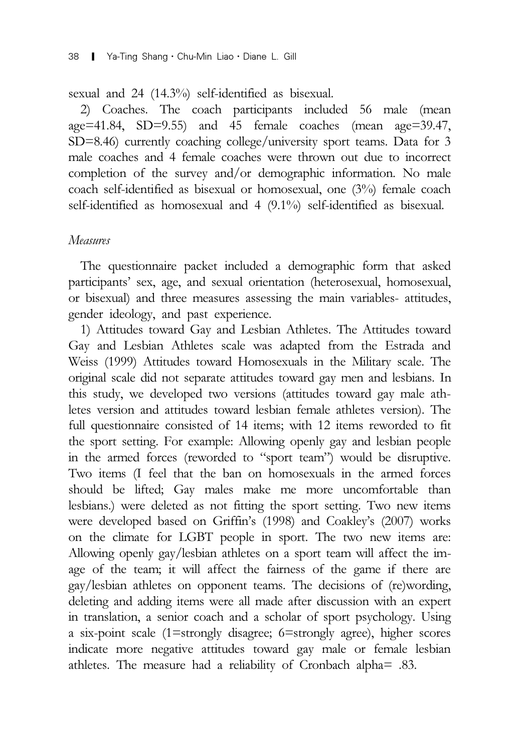sexual and 24 (14.3%) self-identified as bisexual.

2) Coaches. The coach participants included 56 male (mean age=41.84, SD=9.55) and 45 female coaches (mean age=39.47, SD=8.46) currently coaching college/university sport teams. Data for 3 male coaches and 4 female coaches were thrown out due to incorrect completion of the survey and/or demographic information. No male coach self-identified as bisexual or homosexual, one (3%) female coach self-identified as homosexual and 4 (9.1%) self-identified as bisexual.

# Measures

The questionnaire packet included a demographic form that asked participants' sex, age, and sexual orientation (heterosexual, homosexual, or bisexual) and three measures assessing the main variables- attitudes, gender ideology, and past experience.

1) Attitudes toward Gay and Lesbian Athletes. The Attitudes toward Gay and Lesbian Athletes scale was adapted from the Estrada and Weiss (1999) Attitudes toward Homosexuals in the Military scale. The original scale did not separate attitudes toward gay men and lesbians. In this study, we developed two versions (attitudes toward gay male athletes version and attitudes toward lesbian female athletes version). The full questionnaire consisted of 14 items; with 12 items reworded to fit the sport setting. For example: Allowing openly gay and lesbian people in the armed forces (reworded to "sport team") would be disruptive. Two items (I feel that the ban on homosexuals in the armed forces should be lifted; Gay males make me more uncomfortable than lesbians.) were deleted as not fitting the sport setting. Two new items were developed based on Griffin's (1998) and Coakley's (2007) works on the climate for LGBT people in sport. The two new items are: Allowing openly gay/lesbian athletes on a sport team will affect the image of the team; it will affect the fairness of the game if there are gay/lesbian athletes on opponent teams. The decisions of (re)wording, deleting and adding items were all made after discussion with an expert in translation, a senior coach and a scholar of sport psychology. Using a six-point scale (1=strongly disagree; 6=strongly agree), higher scores indicate more negative attitudes toward gay male or female lesbian athletes. The measure had a reliability of Cronbach alpha= .83.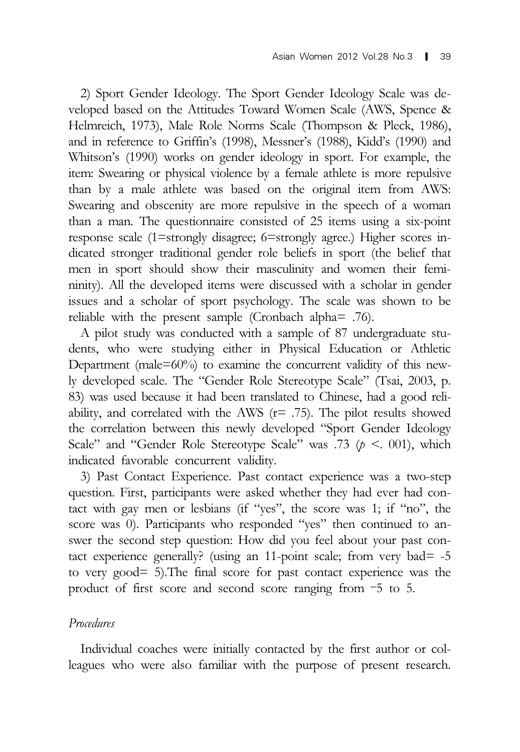2) Sport Gender Ideology. The Sport Gender Ideology Scale was developed based on the Attitudes Toward Women Scale (AWS, Spence & Helmreich, 1973), Male Role Norms Scale (Thompson & Pleck, 1986), and in reference to Griffin's (1998), Messner's (1988), Kidd's (1990) and Whitson's (1990) works on gender ideology in sport. For example, the item: Swearing or physical violence by a female athlete is more repulsive than by a male athlete was based on the original item from AWS: Swearing and obscenity are more repulsive in the speech of a woman than a man. The questionnaire consisted of 25 items using a six-point response scale (1=strongly disagree; 6=strongly agree.) Higher scores indicated stronger traditional gender role beliefs in sport (the belief that men in sport should show their masculinity and women their femininity). All the developed items were discussed with a scholar in gender issues and a scholar of sport psychology. The scale was shown to be reliable with the present sample (Cronbach alpha= .76).

A pilot study was conducted with a sample of 87 undergraduate students, who were studying either in Physical Education or Athletic Department (male= $60\%$ ) to examine the concurrent validity of this newly developed scale. The "Gender Role Stereotype Scale" (Tsai, 2003, p. 83) was used because it had been translated to Chinese, had a good reliability, and correlated with the AWS  $(r= .75)$ . The pilot results showed the correlation between this newly developed "Sport Gender Ideology Scale" and "Gender Role Stereotype Scale" was .73 ( $p < 001$ ), which indicated favorable concurrent validity.

3) Past Contact Experience. Past contact experience was a two-step question. First, participants were asked whether they had ever had contact with gay men or lesbians (if "yes", the score was 1; if "no", the score was 0). Participants who responded "yes" then continued to answer the second step question: How did you feel about your past contact experience generally? (using an 11-point scale; from very bad= -5 to very good= 5).The final score for past contact experience was the product of first score and second score ranging from –5 to 5.

### Procedures

Individual coaches were initially contacted by the first author or colleagues who were also familiar with the purpose of present research.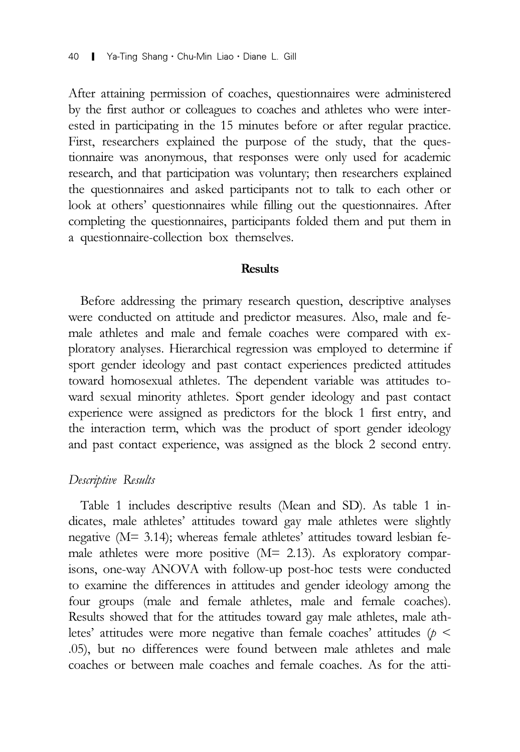After attaining permission of coaches, questionnaires were administered by the first author or colleagues to coaches and athletes who were interested in participating in the 15 minutes before or after regular practice. First, researchers explained the purpose of the study, that the questionnaire was anonymous, that responses were only used for academic research, and that participation was voluntary; then researchers explained the questionnaires and asked participants not to talk to each other or look at others' questionnaires while filling out the questionnaires. After completing the questionnaires, participants folded them and put them in a questionnaire-collection box themselves.

### **Results**

Before addressing the primary research question, descriptive analyses were conducted on attitude and predictor measures. Also, male and female athletes and male and female coaches were compared with exploratory analyses. Hierarchical regression was employed to determine if sport gender ideology and past contact experiences predicted attitudes toward homosexual athletes. The dependent variable was attitudes toward sexual minority athletes. Sport gender ideology and past contact experience were assigned as predictors for the block 1 first entry, and the interaction term, which was the product of sport gender ideology and past contact experience, was assigned as the block 2 second entry.

#### Descriptive Results

Table 1 includes descriptive results (Mean and SD). As table 1 indicates, male athletes' attitudes toward gay male athletes were slightly negative (M= 3.14); whereas female athletes' attitudes toward lesbian female athletes were more positive (M= 2.13). As exploratory comparisons, one-way ANOVA with follow-up post-hoc tests were conducted to examine the differences in attitudes and gender ideology among the four groups (male and female athletes, male and female coaches). Results showed that for the attitudes toward gay male athletes, male athletes' attitudes were more negative than female coaches' attitudes ( $p <$ .05), but no differences were found between male athletes and male coaches or between male coaches and female coaches. As for the atti-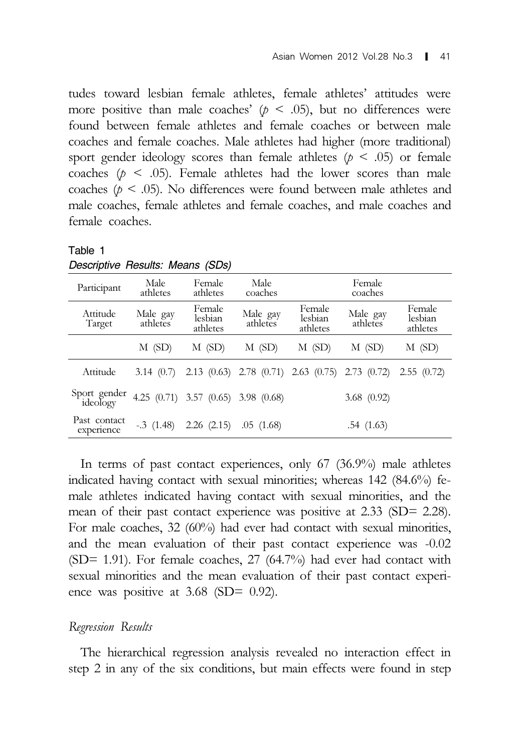tudes toward lesbian female athletes, female athletes' attitudes were more positive than male coaches'  $(p < .05)$ , but no differences were found between female athletes and female coaches or between male coaches and female coaches. Male athletes had higher (more traditional) sport gender ideology scores than female athletes ( $p \leq .05$ ) or female coaches ( $p \leq .05$ ). Female athletes had the lower scores than male coaches ( $p \leq 0.05$ ). No differences were found between male athletes and male coaches, female athletes and female coaches, and male coaches and female coaches.

| Descriptive riesults. Means (SDS) |                      |                                     |                      |                                                         |                      |                               |  |  |  |  |  |
|-----------------------------------|----------------------|-------------------------------------|----------------------|---------------------------------------------------------|----------------------|-------------------------------|--|--|--|--|--|
| Participant                       | Male<br>athletes     | Female<br>athletes                  | Male<br>coaches      |                                                         |                      |                               |  |  |  |  |  |
| Attitude<br>Target                | Male gay<br>athletes | Female<br>lesbian<br>athletes       | Male gay<br>athletes | Female<br>lesbian<br>athletes                           | Male gay<br>athletes | Female<br>lesbian<br>athletes |  |  |  |  |  |
|                                   | $M$ (SD)             | $M$ (SD)                            | $M$ (SD)             | $M$ (SD)                                                | $M$ (SD)             | M(SD)                         |  |  |  |  |  |
| Attitude                          | 3.14(0.7)            |                                     |                      | $2.13$ (0.63) $2.78$ (0.71) $2.63$ (0.75) $2.73$ (0.72) |                      | 2.55(0.72)                    |  |  |  |  |  |
| Sport gender<br>ideology          |                      | 4.25 (0.71) 3.57 (0.65) 3.98 (0.68) |                      |                                                         | 3.68(0.92)           |                               |  |  |  |  |  |
| Past contact<br>experience        | $-.3(1.48)$          | $2.26$ $(2.15)$                     | .05(1.68)            |                                                         | .54(1.63)            |                               |  |  |  |  |  |

Table 1 *Descriptive Results: Means (SDs)*

In terms of past contact experiences, only 67 (36.9%) male athletes indicated having contact with sexual minorities; whereas 142 (84.6%) female athletes indicated having contact with sexual minorities, and the mean of their past contact experience was positive at 2.33 (SD= 2.28). For male coaches, 32 (60%) had ever had contact with sexual minorities, and the mean evaluation of their past contact experience was -0.02 (SD= 1.91). For female coaches, 27 (64.7%) had ever had contact with sexual minorities and the mean evaluation of their past contact experience was positive at 3.68 (SD= 0.92).

### Regression Results

The hierarchical regression analysis revealed no interaction effect in step 2 in any of the six conditions, but main effects were found in step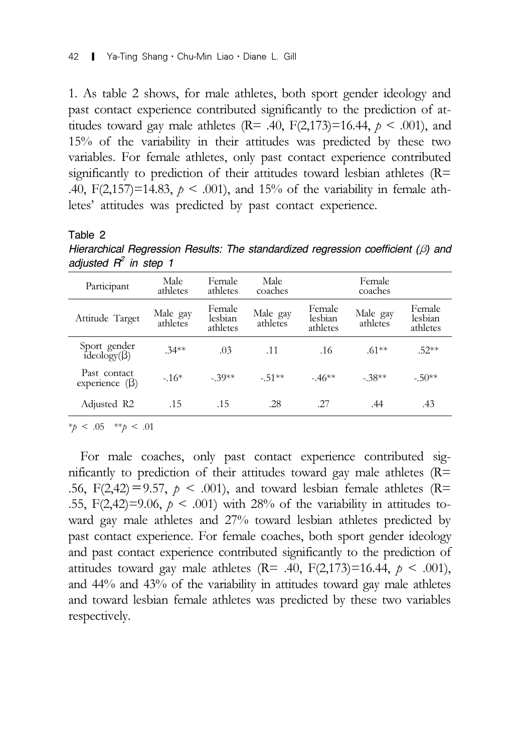1. As table 2 shows, for male athletes, both sport gender ideology and past contact experience contributed significantly to the prediction of attitudes toward gay male athletes ( $R = .40$ ,  $F(2,173)=16.44$ ,  $p < .001$ ), and 15% of the variability in their attitudes was predicted by these two variables. For female athletes, only past contact experience contributed significantly to prediction of their attitudes toward lesbian athletes  $(R=$ .40, F(2,157)=14.83,  $p < .001$ ), and 15% of the variability in female athletes' attitudes was predicted by past contact experience.

#### Table 2

*Hierarchical Regression Results: The standardized regression coefficient (*β*) and adjusted R2 in step 1*

| Participant                          | Male<br>athletes     | Female<br>athletes            | Male<br>coaches      |                               | Female<br>coaches    |                               |
|--------------------------------------|----------------------|-------------------------------|----------------------|-------------------------------|----------------------|-------------------------------|
| Attitude Target                      | Male gay<br>athletes | Female<br>lesbian<br>athletes | Male gay<br>athletes | Female<br>lesbian<br>athletes | Male gay<br>athletes | Female<br>lesbian<br>athletes |
| Sport gender<br>ideology( $\beta$ )  | $.34***$             | .03                           | .11                  | .16                           | $61***$              | $.52**$                       |
| Past contact<br>experience $(\beta)$ | $-.16*$              | $-39**$                       | $-51**$              | $-46**$                       | $-.38**$             | $-.50**$                      |
| Adjusted R2                          | .15                  | .15                           | .28                  | -27                           | .44                  | .43                           |

 $*_{\tilde{p}} < .05$  \*\* $_{\tilde{p}} < .01$ 

For male coaches, only past contact experience contributed significantly to prediction of their attitudes toward gay male athletes  $(R=$ .56, F(2,42) = 9.57,  $p < .001$ ), and toward lesbian female athletes (R= .55, F(2,42)=9.06,  $p < .001$ ) with 28% of the variability in attitudes toward gay male athletes and 27% toward lesbian athletes predicted by past contact experience. For female coaches, both sport gender ideology and past contact experience contributed significantly to the prediction of attitudes toward gay male athletes ( $R = .40, F(2,173)=16.44, p < .001$ ), and 44% and 43% of the variability in attitudes toward gay male athletes and toward lesbian female athletes was predicted by these two variables respectively.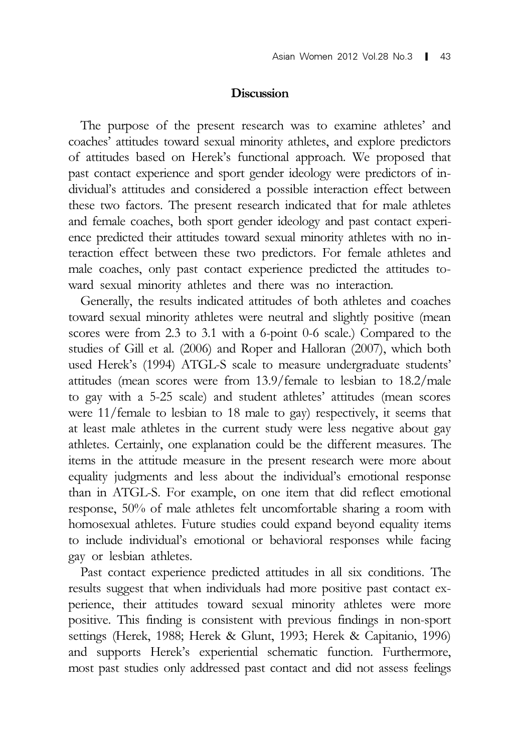## **Discussion**

The purpose of the present research was to examine athletes' and coaches' attitudes toward sexual minority athletes, and explore predictors of attitudes based on Herek's functional approach. We proposed that past contact experience and sport gender ideology were predictors of individual's attitudes and considered a possible interaction effect between these two factors. The present research indicated that for male athletes and female coaches, both sport gender ideology and past contact experience predicted their attitudes toward sexual minority athletes with no interaction effect between these two predictors. For female athletes and male coaches, only past contact experience predicted the attitudes toward sexual minority athletes and there was no interaction.

Generally, the results indicated attitudes of both athletes and coaches toward sexual minority athletes were neutral and slightly positive (mean scores were from 2.3 to 3.1 with a 6-point 0-6 scale.) Compared to the studies of Gill et al. (2006) and Roper and Halloran (2007), which both used Herek's (1994) ATGL-S scale to measure undergraduate students' attitudes (mean scores were from 13.9/female to lesbian to 18.2/male to gay with a 5-25 scale) and student athletes' attitudes (mean scores were 11/female to lesbian to 18 male to gay) respectively, it seems that at least male athletes in the current study were less negative about gay athletes. Certainly, one explanation could be the different measures. The items in the attitude measure in the present research were more about equality judgments and less about the individual's emotional response than in ATGL-S. For example, on one item that did reflect emotional response, 50% of male athletes felt uncomfortable sharing a room with homosexual athletes. Future studies could expand beyond equality items to include individual's emotional or behavioral responses while facing gay or lesbian athletes.

Past contact experience predicted attitudes in all six conditions. The results suggest that when individuals had more positive past contact experience, their attitudes toward sexual minority athletes were more positive. This finding is consistent with previous findings in non-sport settings (Herek, 1988; Herek & Glunt, 1993; Herek & Capitanio, 1996) and supports Herek's experiential schematic function. Furthermore, most past studies only addressed past contact and did not assess feelings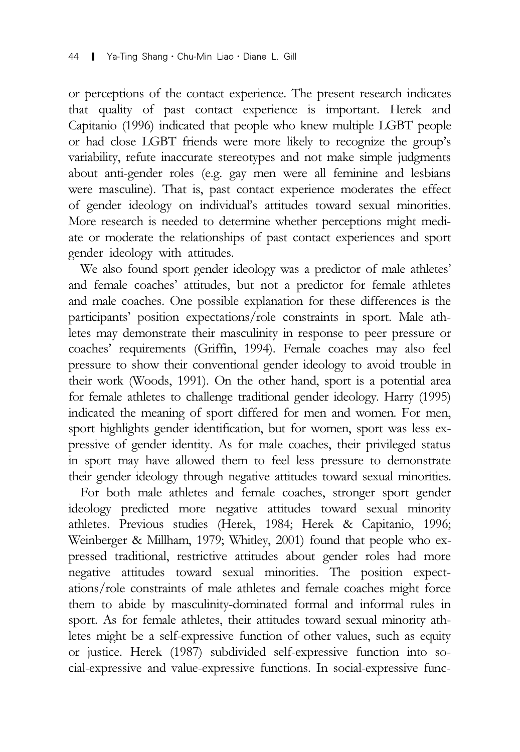or perceptions of the contact experience. The present research indicates that quality of past contact experience is important. Herek and Capitanio (1996) indicated that people who knew multiple LGBT people or had close LGBT friends were more likely to recognize the group's variability, refute inaccurate stereotypes and not make simple judgments about anti-gender roles (e.g. gay men were all feminine and lesbians were masculine). That is, past contact experience moderates the effect of gender ideology on individual's attitudes toward sexual minorities. More research is needed to determine whether perceptions might mediate or moderate the relationships of past contact experiences and sport gender ideology with attitudes.

We also found sport gender ideology was a predictor of male athletes' and female coaches' attitudes, but not a predictor for female athletes and male coaches. One possible explanation for these differences is the participants' position expectations/role constraints in sport. Male athletes may demonstrate their masculinity in response to peer pressure or coaches' requirements (Griffin, 1994). Female coaches may also feel pressure to show their conventional gender ideology to avoid trouble in their work (Woods, 1991). On the other hand, sport is a potential area for female athletes to challenge traditional gender ideology. Harry (1995) indicated the meaning of sport differed for men and women. For men, sport highlights gender identification, but for women, sport was less expressive of gender identity. As for male coaches, their privileged status in sport may have allowed them to feel less pressure to demonstrate their gender ideology through negative attitudes toward sexual minorities.

For both male athletes and female coaches, stronger sport gender ideology predicted more negative attitudes toward sexual minority athletes. Previous studies (Herek, 1984; Herek & Capitanio, 1996; Weinberger & Millham, 1979; Whitley, 2001) found that people who expressed traditional, restrictive attitudes about gender roles had more negative attitudes toward sexual minorities. The position expectations/role constraints of male athletes and female coaches might force them to abide by masculinity-dominated formal and informal rules in sport. As for female athletes, their attitudes toward sexual minority athletes might be a self-expressive function of other values, such as equity or justice. Herek (1987) subdivided self-expressive function into social-expressive and value-expressive functions. In social-expressive func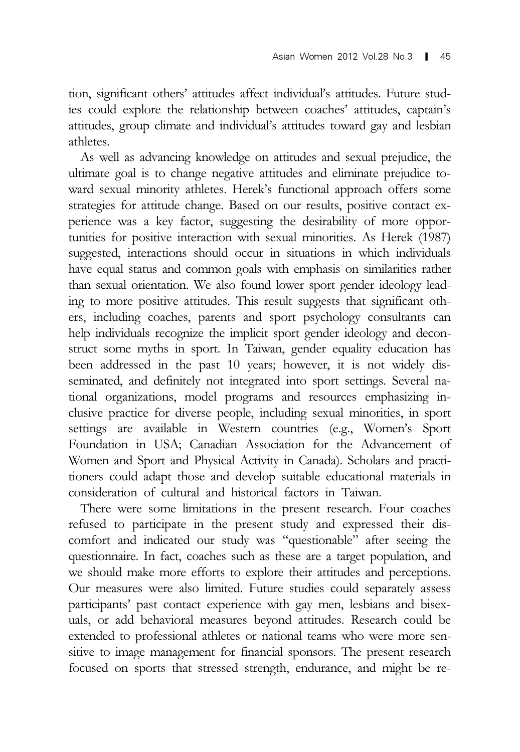tion, significant others' attitudes affect individual's attitudes. Future studies could explore the relationship between coaches' attitudes, captain's attitudes, group climate and individual's attitudes toward gay and lesbian athletes.

As well as advancing knowledge on attitudes and sexual prejudice, the ultimate goal is to change negative attitudes and eliminate prejudice toward sexual minority athletes. Herek's functional approach offers some strategies for attitude change. Based on our results, positive contact experience was a key factor, suggesting the desirability of more opportunities for positive interaction with sexual minorities. As Herek (1987) suggested, interactions should occur in situations in which individuals have equal status and common goals with emphasis on similarities rather than sexual orientation. We also found lower sport gender ideology leading to more positive attitudes. This result suggests that significant others, including coaches, parents and sport psychology consultants can help individuals recognize the implicit sport gender ideology and deconstruct some myths in sport. In Taiwan, gender equality education has been addressed in the past 10 years; however, it is not widely disseminated, and definitely not integrated into sport settings. Several national organizations, model programs and resources emphasizing inclusive practice for diverse people, including sexual minorities, in sport settings are available in Western countries (e.g., Women's Sport Foundation in USA; Canadian Association for the Advancement of Women and Sport and Physical Activity in Canada). Scholars and practitioners could adapt those and develop suitable educational materials in consideration of cultural and historical factors in Taiwan.

There were some limitations in the present research. Four coaches refused to participate in the present study and expressed their discomfort and indicated our study was "questionable" after seeing the questionnaire. In fact, coaches such as these are a target population, and we should make more efforts to explore their attitudes and perceptions. Our measures were also limited. Future studies could separately assess participants' past contact experience with gay men, lesbians and bisexuals, or add behavioral measures beyond attitudes. Research could be extended to professional athletes or national teams who were more sensitive to image management for financial sponsors. The present research focused on sports that stressed strength, endurance, and might be re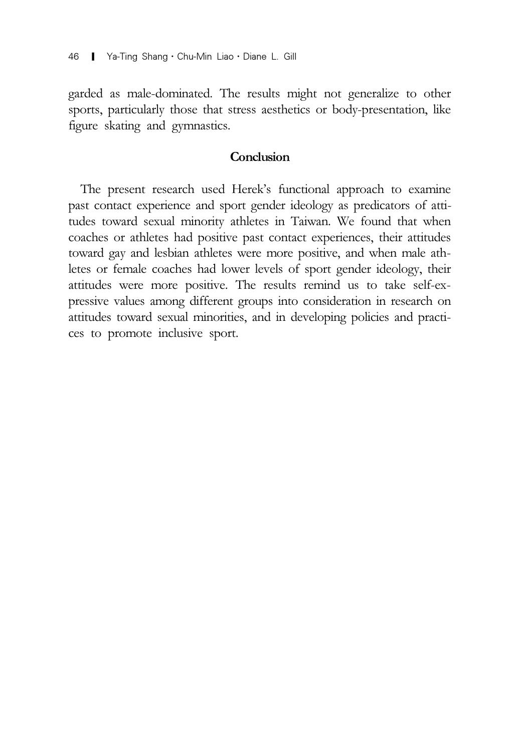garded as male-dominated. The results might not generalize to other sports, particularly those that stress aesthetics or body-presentation, like figure skating and gymnastics.

# **Conclusion**

The present research used Herek's functional approach to examine past contact experience and sport gender ideology as predicators of attitudes toward sexual minority athletes in Taiwan. We found that when coaches or athletes had positive past contact experiences, their attitudes toward gay and lesbian athletes were more positive, and when male athletes or female coaches had lower levels of sport gender ideology, their attitudes were more positive. The results remind us to take self-expressive values among different groups into consideration in research on attitudes toward sexual minorities, and in developing policies and practices to promote inclusive sport.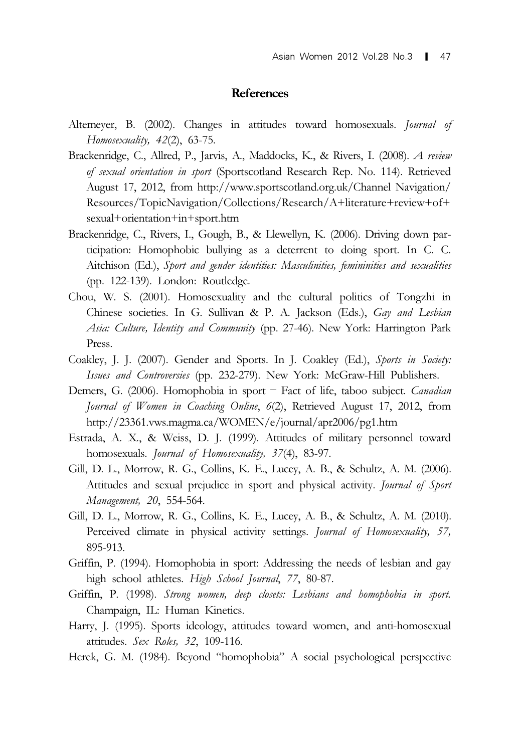#### References

- Altemeyer, B. (2002). Changes in attitudes toward homosexuals. Journal of Homosexuality, 42(2), 63-75.
- Brackenridge, C., Allred, P., Jarvis, A., Maddocks, K., & Rivers, I. (2008). A review of sexual orientation in sport (Sportscotland Research Rep. No. 114). Retrieved August 17, 2012, from http://www.sportscotland.org.uk/Channel Navigation/ Resources/TopicNavigation/Collections/Research/A+literature+review+of+ sexual+orientation+in+sport.htm
- Brackenridge, C., Rivers, I., Gough, B., & Llewellyn, K. (2006). Driving down participation: Homophobic bullying as a deterrent to doing sport. In C. C. Aitchison (Ed.), Sport and gender identities: Masculinities, femininities and sexualities (pp. 122-139). London: Routledge.
- Chou, W. S. (2001). Homosexuality and the cultural politics of Tongzhi in Chinese societies. In G. Sullivan & P. A. Jackson (Eds.), Gay and Lesbian Asia: Culture, Identity and Community (pp. 27-46). New York: Harrington Park Press.
- Coakley, J. J. (2007). Gender and Sports. In J. Coakley (Ed.), Sports in Society: Issues and Controversies (pp. 232-279). New York: McGraw-Hill Publishers.
- Demers, G. (2006). Homophobia in sport Fact of life, taboo subject. Canadian Journal of Women in Coaching Online, 6(2), Retrieved August 17, 2012, from http://23361.vws.magma.ca/WOMEN/e/journal/apr2006/pg1.htm
- Estrada, A. X., & Weiss, D. J. (1999). Attitudes of military personnel toward homosexuals. Journal of Homosexuality, 37(4), 83-97.
- Gill, D. L., Morrow, R. G., Collins, K. E., Lucey, A. B., & Schultz, A. M. (2006). Attitudes and sexual prejudice in sport and physical activity. Journal of Sport Management, 20, 554-564.
- Gill, D. L., Morrow, R. G., Collins, K. E., Lucey, A. B., & Schultz, A. M. (2010). Perceived climate in physical activity settings. Journal of Homosexuality, 57, 895-913.
- Griffin, P. (1994). Homophobia in sport: Addressing the needs of lesbian and gay high school athletes. High School Journal, 77, 80-87.
- Griffin, P. (1998). Strong women, deep closets: Lesbians and homophobia in sport. Champaign, IL: Human Kinetics.
- Harry, J. (1995). Sports ideology, attitudes toward women, and anti-homosexual attitudes. Sex Roles, 32, 109-116.
- Herek, G. M. (1984). Beyond "homophobia" A social psychological perspective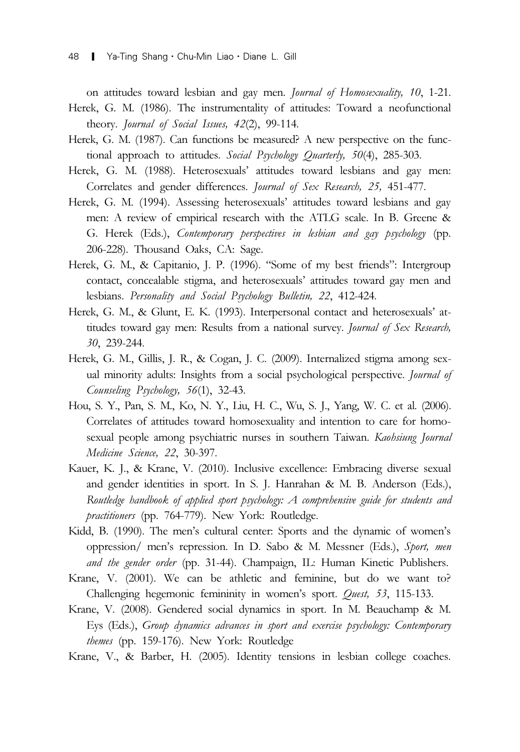on attitudes toward lesbian and gay men. Journal of Homosexuality, 10, 1-21. Herek, G. M. (1986). The instrumentality of attitudes: Toward a neofunctional theory. Journal of Social Issues, 42(2), 99-114.

- Herek, G. M. (1987). Can functions be measured? A new perspective on the functional approach to attitudes. Social Psychology Quarterly, 50(4), 285-303.
- Herek, G. M. (1988). Heterosexuals' attitudes toward lesbians and gay men: Correlates and gender differences. Journal of Sex Research, 25, 451-477.
- Herek, G. M. (1994). Assessing heterosexuals' attitudes toward lesbians and gay men: A review of empirical research with the ATLG scale. In B. Greene & G. Herek (Eds.), Contemporary perspectives in lesbian and gay psychology (pp. 206-228). Thousand Oaks, CA: Sage.
- Herek, G. M., & Capitanio, J. P. (1996). "Some of my best friends": Intergroup contact, concealable stigma, and heterosexuals' attitudes toward gay men and lesbians. Personality and Social Psychology Bulletin, 22, 412-424.
- Herek, G. M., & Glunt, E. K. (1993). Interpersonal contact and heterosexuals' attitudes toward gay men: Results from a national survey. Journal of Sex Research, 30, 239-244.
- Herek, G. M., Gillis, J. R., & Cogan, J. C. (2009). Internalized stigma among sexual minority adults: Insights from a social psychological perspective. *Journal of* Counseling Psychology, 56(1), 32-43.
- Hou, S. Y., Pan, S. M., Ko, N. Y., Liu, H. C., Wu, S. J., Yang, W. C. et al. (2006). Correlates of attitudes toward homosexuality and intention to care for homosexual people among psychiatric nurses in southern Taiwan. Kaohsiung Journal Medicine Science, 22, 30-397.
- Kauer, K. J., & Krane, V. (2010). Inclusive excellence: Embracing diverse sexual and gender identities in sport. In S. J. Hanrahan & M. B. Anderson (Eds.), Routledge handbook of applied sport psychology: A comprehensive guide for students and practitioners (pp. 764-779). New York: Routledge.
- Kidd, B. (1990). The men's cultural center: Sports and the dynamic of women's oppression/ men's repression. In D. Sabo & M. Messner (Eds.), Sport, men and the gender order (pp. 31-44). Champaign, IL: Human Kinetic Publishers.
- Krane, V. (2001). We can be athletic and feminine, but do we want to? Challenging hegemonic femininity in women's sport. Quest, 53, 115-133.
- Krane, V. (2008). Gendered social dynamics in sport. In M. Beauchamp & M. Eys (Eds.), Group dynamics advances in sport and exercise psychology: Contemporary themes (pp. 159-176). New York: Routledge
- Krane, V., & Barber, H. (2005). Identity tensions in lesbian college coaches.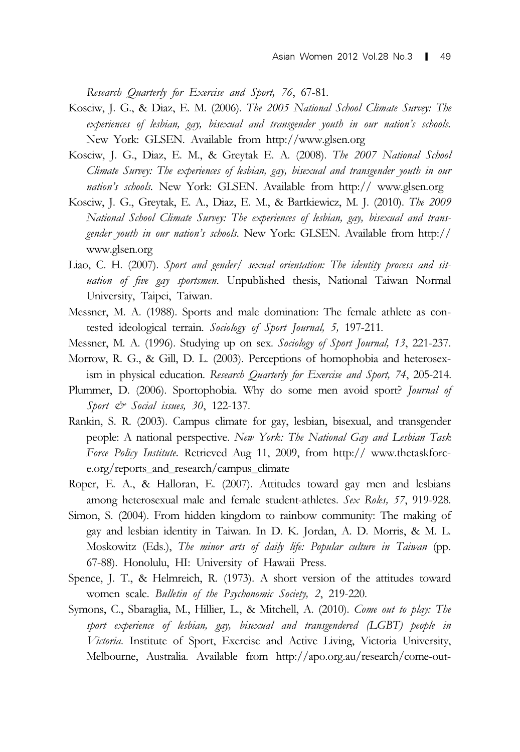Research Quarterly for Exercise and Sport, 76, 67-81.

- Kosciw, J. G., & Diaz, E. M. (2006). The 2005 National School Climate Survey: The experiences of lesbian, gay, bisexual and transgender youth in our nation's schools. New York: GLSEN. Available from http://www.glsen.org
- Kosciw, J. G., Diaz, E. M., & Greytak E. A. (2008). The 2007 National School Climate Survey: The experiences of lesbian, gay, bisexual and transgender youth in our nation's schools. New York: GLSEN. Available from http:// www.glsen.org
- Kosciw, J. G., Greytak, E. A., Diaz, E. M., & Bartkiewicz, M. J. (2010). The 2009 National School Climate Survey: The experiences of lesbian, gay, bisexual and transgender youth in our nation's schools. New York: GLSEN. Available from http:// www.glsen.org
- Liao, C. H. (2007). Sport and gender/ sexual orientation: The identity process and situation of five gay sportsmen. Unpublished thesis, National Taiwan Normal University, Taipei, Taiwan.
- Messner, M. A. (1988). Sports and male domination: The female athlete as contested ideological terrain. Sociology of Sport Journal, 5, 197-211.
- Messner, M. A. (1996). Studying up on sex. Sociology of Sport Journal, 13, 221-237.
- Morrow, R. G., & Gill, D. L. (2003). Perceptions of homophobia and heterosexism in physical education. Research Quarterly for Exercise and Sport, 74, 205-214.
- Plummer, D. (2006). Sportophobia. Why do some men avoid sport? Journal of Sport  $\mathcal{C}$  Social issues, 30, 122-137.
- Rankin, S. R. (2003). Campus climate for gay, lesbian, bisexual, and transgender people: A national perspective. New York: The National Gay and Lesbian Task Force Policy Institute. Retrieved Aug 11, 2009, from http:// www.thetaskforce.org/reports\_and\_research/campus\_climate
- Roper, E. A., & Halloran, E. (2007). Attitudes toward gay men and lesbians among heterosexual male and female student-athletes. Sex Roles, 57, 919-928.
- Simon, S. (2004). From hidden kingdom to rainbow community: The making of gay and lesbian identity in Taiwan. In D. K. Jordan, A. D. Morris, & M. L. Moskowitz (Eds.), The minor arts of daily life: Popular culture in Taiwan (pp. 67-88). Honolulu, HI: University of Hawaii Press.
- Spence, J. T., & Helmreich, R. (1973). A short version of the attitudes toward women scale. Bulletin of the Psychonomic Society, 2, 219-220.
- Symons, C., Sbaraglia, M., Hillier, L., & Mitchell, A. (2010). Come out to play: The sport experience of lesbian, gay, bisexual and transgendered (LGBT) people in Victoria. Institute of Sport, Exercise and Active Living, Victoria University, Melbourne, Australia. Available from http://apo.org.au/research/come-out-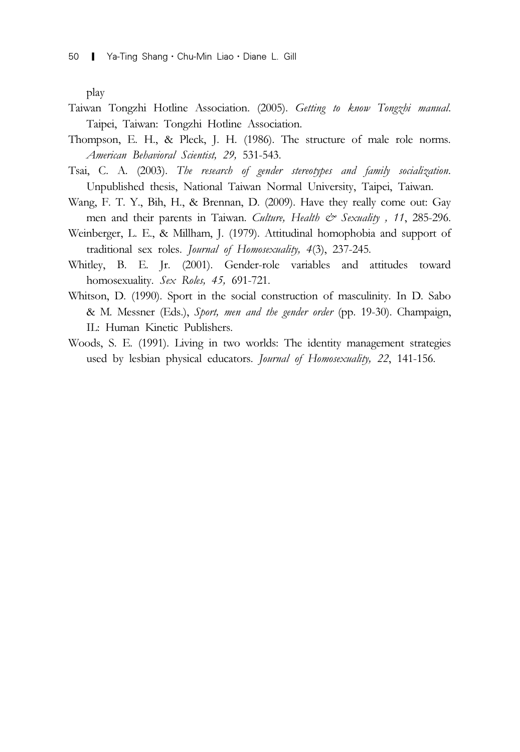play

- Taiwan Tongzhi Hotline Association. (2005). Getting to know Tongzhi manual. Taipei, Taiwan: Tongzhi Hotline Association.
- Thompson, E. H., & Pleck, J. H. (1986). The structure of male role norms. American Behavioral Scientist, 29, 531-543.
- Tsai, C. A. (2003). The research of gender stereotypes and family socialization. Unpublished thesis, National Taiwan Normal University, Taipei, Taiwan.
- Wang, F. T. Y., Bih, H., & Brennan, D. (2009). Have they really come out: Gay men and their parents in Taiwan. Culture, Health & Sexuality, 11, 285-296.
- Weinberger, L. E., & Millham, J. (1979). Attitudinal homophobia and support of traditional sex roles. Journal of Homosexuality, 4(3), 237-245.
- Whitley, B. E. Jr. (2001). Gender-role variables and attitudes toward homosexuality. Sex Roles, 45, 691-721.
- Whitson, D. (1990). Sport in the social construction of masculinity. In D. Sabo & M. Messner (Eds.), Sport, men and the gender order (pp. 19-30). Champaign, IL: Human Kinetic Publishers.
- Woods, S. E. (1991). Living in two worlds: The identity management strategies used by lesbian physical educators. Journal of Homosexuality, 22, 141-156.